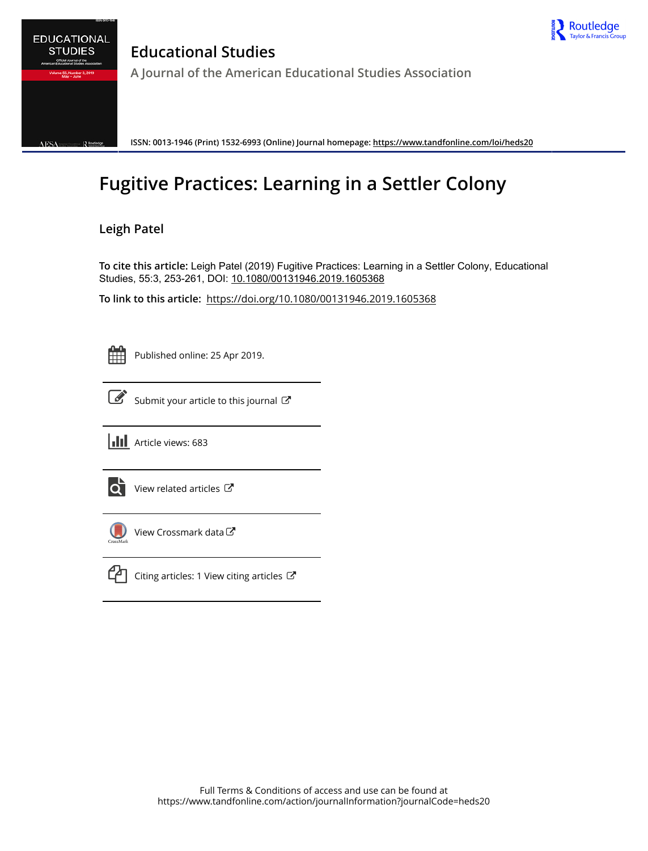

**EDUCATIONAL STUDIES** 

AES/

**Educational Studies A Journal of the American Educational Studies Association**

**ISSN: 0013-1946 (Print) 1532-6993 (Online) Journal homepage:<https://www.tandfonline.com/loi/heds20>**

# **Fugitive Practices: Learning in a Settler Colony**

### **Leigh Patel**

**To cite this article:** Leigh Patel (2019) Fugitive Practices: Learning in a Settler Colony, Educational Studies, 55:3, 253-261, DOI: [10.1080/00131946.2019.1605368](https://www.tandfonline.com/action/showCitFormats?doi=10.1080/00131946.2019.1605368)

**To link to this article:** <https://doi.org/10.1080/00131946.2019.1605368>

| - |
|---|
|   |
|   |
|   |

Published online: 25 Apr 2019.

Submit your article to this journal





 $\overrightarrow{Q}$  [View related articles](https://www.tandfonline.com/doi/mlt/10.1080/00131946.2019.1605368)  $\overrightarrow{C}$ 



 $\bigcirc$  [View Crossmark data](http://crossmark.crossref.org/dialog/?doi=10.1080/00131946.2019.1605368&domain=pdf&date_stamp=2019-04-25) $\mathbb{Z}$ 



[Citing articles: 1 View citing articles](https://www.tandfonline.com/doi/citedby/10.1080/00131946.2019.1605368#tabModule)  $\mathbb{C}$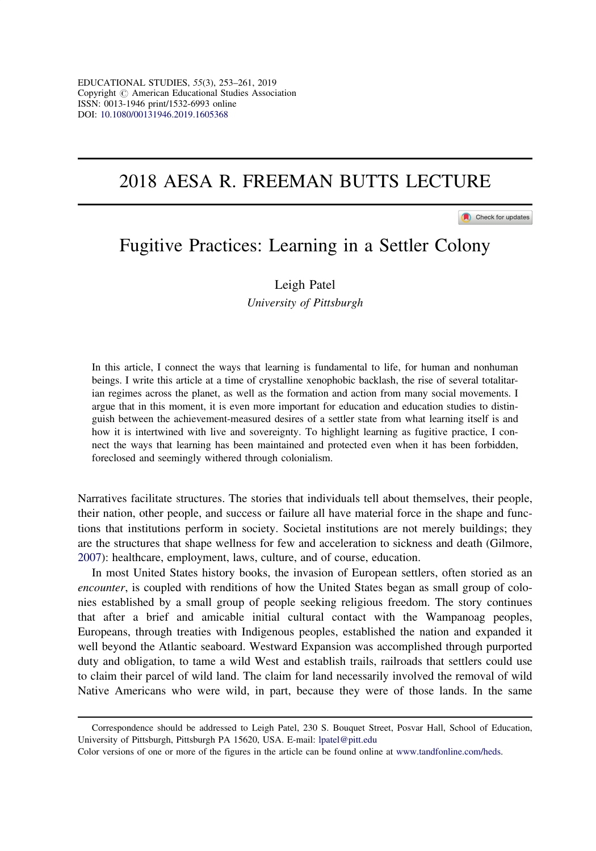# <span id="page-1-0"></span>2018 AESA R. FREEMAN BUTTS LECTURE

Check for updates

## Fugitive Practices: Learning in a Settler Colony

Leigh Patel

University of Pittsburgh

In this article, I connect the ways that learning is fundamental to life, for human and nonhuman beings. I write this article at a time of crystalline xenophobic backlash, the rise of several totalitarian regimes across the planet, as well as the formation and action from many social movements. I argue that in this moment, it is even more important for education and education studies to distinguish between the achievement-measured desires of a settler state from what learning itself is and how it is intertwined with live and sovereignty. To highlight learning as fugitive practice, I connect the ways that learning has been maintained and protected even when it has been forbidden, foreclosed and seemingly withered through colonialism.

Narratives facilitate structures. The stories that individuals tell about themselves, their people, their nation, other people, and success or failure all have material force in the shape and functions that institutions perform in society. Societal institutions are not merely buildings; they are the structures that shape wellness for few and acceleration to sickness and death (Gilmore, [2007\)](#page-8-0): healthcare, employment, laws, culture, and of course, education.

In most United States history books, the invasion of European settlers, often storied as an encounter, is coupled with renditions of how the United States began as small group of colonies established by a small group of people seeking religious freedom. The story continues that after a brief and amicable initial cultural contact with the Wampanoag peoples, Europeans, through treaties with Indigenous peoples, established the nation and expanded it well beyond the Atlantic seaboard. Westward Expansion was accomplished through purported duty and obligation, to tame a wild West and establish trails, railroads that settlers could use to claim their parcel of wild land. The claim for land necessarily involved the removal of wild Native Americans who were wild, in part, because they were of those lands. In the same

Correspondence should be addressed to Leigh Patel, 230 S. Bouquet Street, Posvar Hall, School of Education, University of Pittsburgh, Pittsburgh PA 15620, USA. E-mail: lpatel@pitt.edu

Color versions of one or more of the figures in the article can be found online at [www.tandfonline.com/heds](http://www.tandfonline.com/heds).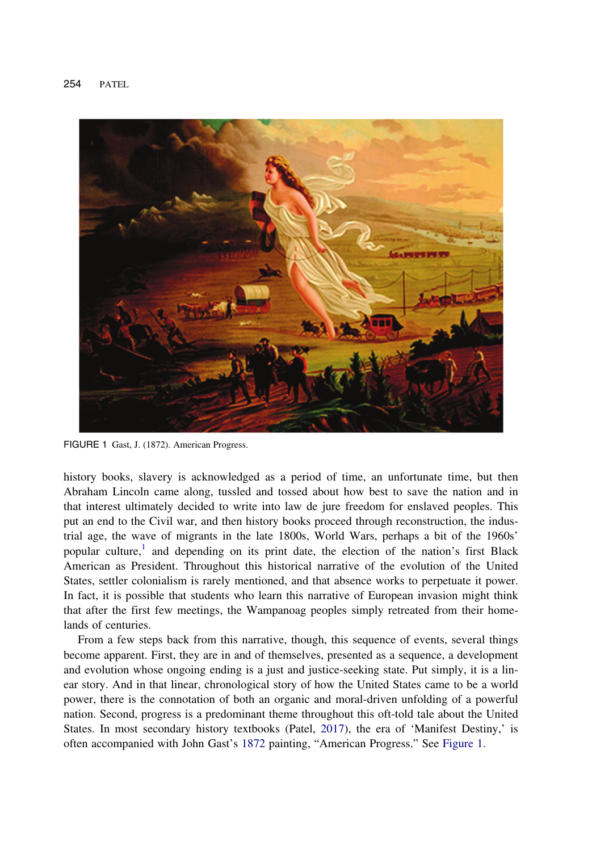<span id="page-2-0"></span>

FIGURE 1 Gast, J. (1872). American Progress.

history books, slavery is acknowledged as a period of time, an unfortunate time, but then Abraham Lincoln came along, tussled and tossed about how best to save the nation and in that interest ultimately decided to write into law de jure freedom for enslaved peoples. This put an end to the Civil war, and then history books proceed through reconstruction, the industrial age, the wave of migrants in the late 1800s, World Wars, perhaps a bit of the 1960s' popular culture,<sup>[1](#page-8-0)</sup> and depending on its print date, the election of the nation's first Black American as President. Throughout this historical narrative of the evolution of the United States, settler colonialism is rarely mentioned, and that absence works to perpetuate it power. In fact, it is possible that students who learn this narrative of European invasion might think that after the first few meetings, the Wampanoag peoples simply retreated from their homelands of centuries.

From a few steps back from this narrative, though, this sequence of events, several things become apparent. First, they are in and of themselves, presented as a sequence, a development and evolution whose ongoing ending is a just and justice-seeking state. Put simply, it is a linear story. And in that linear, chronological story of how the United States came to be a world power, there is the connotation of both an organic and moral-driven unfolding of a powerful nation. Second, progress is a predominant theme throughout this oft-told tale about the United States. In most secondary history textbooks (Patel, [2017](#page-9-0)), the era of 'Manifest Destiny,' is often accompanied with John Gast's [1872](#page-8-0) painting, "American Progress." See Figure 1.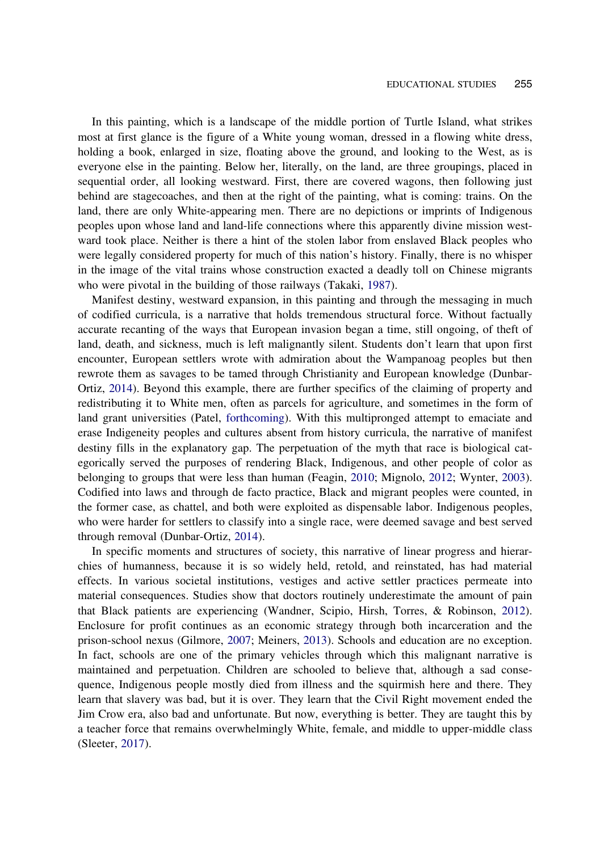<span id="page-3-0"></span>In this painting, which is a landscape of the middle portion of Turtle Island, what strikes most at first glance is the figure of a White young woman, dressed in a flowing white dress, holding a book, enlarged in size, floating above the ground, and looking to the West, as is everyone else in the painting. Below her, literally, on the land, are three groupings, placed in sequential order, all looking westward. First, there are covered wagons, then following just behind are stagecoaches, and then at the right of the painting, what is coming: trains. On the land, there are only White-appearing men. There are no depictions or imprints of Indigenous peoples upon whose land and land-life connections where this apparently divine mission westward took place. Neither is there a hint of the stolen labor from enslaved Black peoples who were legally considered property for much of this nation's history. Finally, there is no whisper in the image of the vital trains whose construction exacted a deadly toll on Chinese migrants who were pivotal in the building of those railways (Takaki, [1987](#page-9-0)).

Manifest destiny, westward expansion, in this painting and through the messaging in much of codified curricula, is a narrative that holds tremendous structural force. Without factually accurate recanting of the ways that European invasion began a time, still ongoing, of theft of land, death, and sickness, much is left malignantly silent. Students don't learn that upon first encounter, European settlers wrote with admiration about the Wampanoag peoples but then rewrote them as savages to be tamed through Christianity and European knowledge (Dunbar-Ortiz, [2014](#page-8-0)). Beyond this example, there are further specifics of the claiming of property and redistributing it to White men, often as parcels for agriculture, and sometimes in the form of land grant universities (Patel, [forthcoming\)](#page-9-0). With this multipronged attempt to emaciate and erase Indigeneity peoples and cultures absent from history curricula, the narrative of manifest destiny fills in the explanatory gap. The perpetuation of the myth that race is biological categorically served the purposes of rendering Black, Indigenous, and other people of color as belonging to groups that were less than human (Feagin, [2010;](#page-8-0) Mignolo, [2012;](#page-9-0) Wynter, [2003](#page-9-0)). Codified into laws and through de facto practice, Black and migrant peoples were counted, in the former case, as chattel, and both were exploited as dispensable labor. Indigenous peoples, who were harder for settlers to classify into a single race, were deemed savage and best served through removal (Dunbar-Ortiz, [2014](#page-8-0)).

In specific moments and structures of society, this narrative of linear progress and hierarchies of humanness, because it is so widely held, retold, and reinstated, has had material effects. In various societal institutions, vestiges and active settler practices permeate into material consequences. Studies show that doctors routinely underestimate the amount of pain that Black patients are experiencing (Wandner, Scipio, Hirsh, Torres, & Robinson, [2012](#page-9-0)). Enclosure for profit continues as an economic strategy through both incarceration and the prison-school nexus (Gilmore, [2007](#page-8-0); Meiners, [2013\)](#page-9-0). Schools and education are no exception. In fact, schools are one of the primary vehicles through which this malignant narrative is maintained and perpetuation. Children are schooled to believe that, although a sad consequence, Indigenous people mostly died from illness and the squirmish here and there. They learn that slavery was bad, but it is over. They learn that the Civil Right movement ended the Jim Crow era, also bad and unfortunate. But now, everything is better. They are taught this by a teacher force that remains overwhelmingly White, female, and middle to upper-middle class (Sleeter, [2017](#page-9-0)).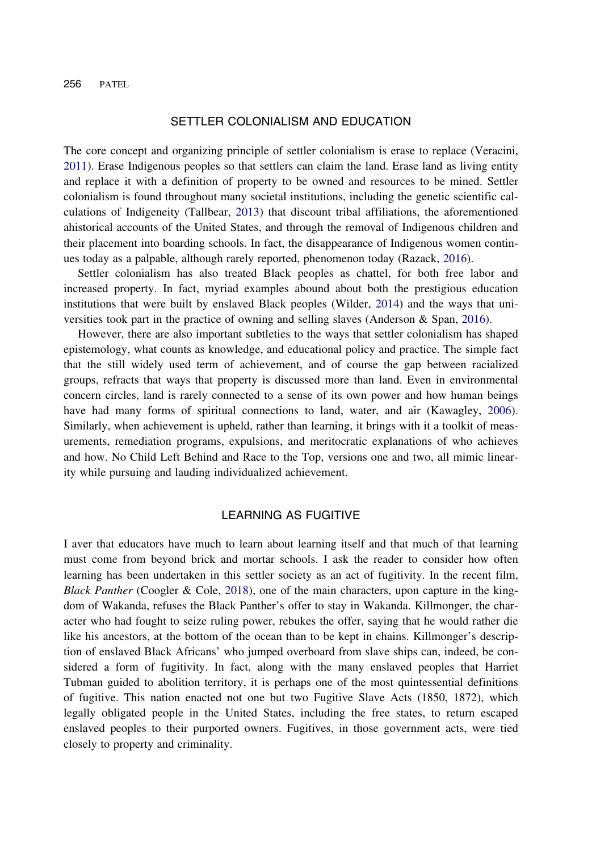#### SETTLER COLONIALISM AND EDUCATION

<span id="page-4-0"></span>The core concept and organizing principle of settler colonialism is erase to replace (Veracini, [2011\)](#page-9-0). Erase Indigenous peoples so that settlers can claim the land. Erase land as living entity and replace it with a definition of property to be owned and resources to be mined. Settler colonialism is found throughout many societal institutions, including the genetic scientific calculations of Indigeneity (Tallbear, [2013](#page-9-0)) that discount tribal affiliations, the aforementioned ahistorical accounts of the United States, and through the removal of Indigenous children and their placement into boarding schools. In fact, the disappearance of Indigenous women continues today as a palpable, although rarely reported, phenomenon today (Razack, [2016\)](#page-9-0).

Settler colonialism has also treated Black peoples as chattel, for both free labor and increased property. In fact, myriad examples abound about both the prestigious education institutions that were built by enslaved Black peoples (Wilder, [2014\)](#page-9-0) and the ways that universities took part in the practice of owning and selling slaves (Anderson & Span, [2016](#page-8-0)).

However, there are also important subtleties to the ways that settler colonialism has shaped epistemology, what counts as knowledge, and educational policy and practice. The simple fact that the still widely used term of achievement, and of course the gap between racialized groups, refracts that ways that property is discussed more than land. Even in environmental concern circles, land is rarely connected to a sense of its own power and how human beings have had many forms of spiritual connections to land, water, and air (Kawagley, [2006](#page-8-0)). Similarly, when achievement is upheld, rather than learning, it brings with it a toolkit of measurements, remediation programs, expulsions, and meritocratic explanations of who achieves and how. No Child Left Behind and Race to the Top, versions one and two, all mimic linearity while pursuing and lauding individualized achievement.

#### LEARNING AS FUGITIVE

I aver that educators have much to learn about learning itself and that much of that learning must come from beyond brick and mortar schools. I ask the reader to consider how often learning has been undertaken in this settler society as an act of fugitivity. In the recent film, Black Panther (Coogler & Cole, [2018](#page-8-0)), one of the main characters, upon capture in the kingdom of Wakanda, refuses the Black Panther's offer to stay in Wakanda. Killmonger, the character who had fought to seize ruling power, rebukes the offer, saying that he would rather die like his ancestors, at the bottom of the ocean than to be kept in chains. Killmonger's description of enslaved Black Africans' who jumped overboard from slave ships can, indeed, be considered a form of fugitivity. In fact, along with the many enslaved peoples that Harriet Tubman guided to abolition territory, it is perhaps one of the most quintessential definitions of fugitive. This nation enacted not one but two Fugitive Slave Acts (1850, 1872), which legally obligated people in the United States, including the free states, to return escaped enslaved peoples to their purported owners. Fugitives, in those government acts, were tied closely to property and criminality.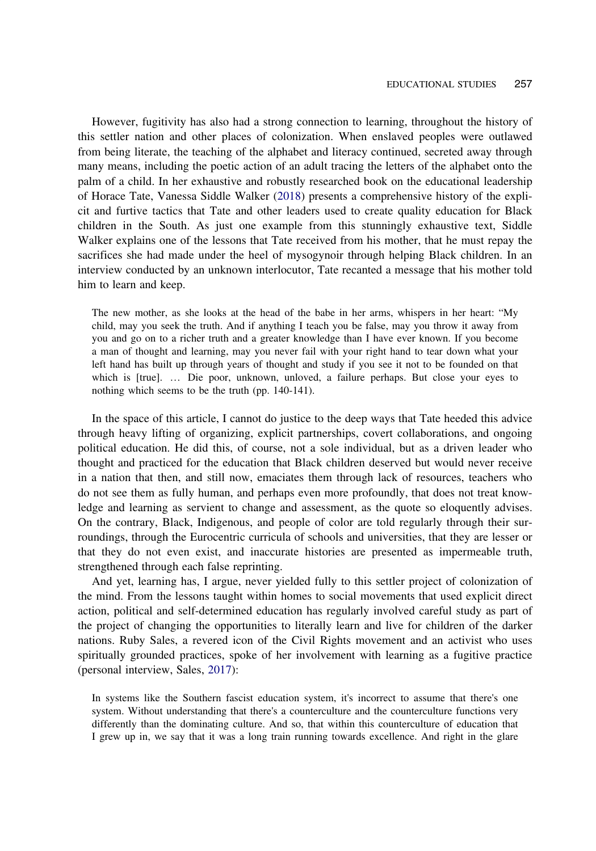<span id="page-5-0"></span>However, fugitivity has also had a strong connection to learning, throughout the history of this settler nation and other places of colonization. When enslaved peoples were outlawed from being literate, the teaching of the alphabet and literacy continued, secreted away through many means, including the poetic action of an adult tracing the letters of the alphabet onto the palm of a child. In her exhaustive and robustly researched book on the educational leadership of Horace Tate, Vanessa Siddle Walker ([2018\)](#page-9-0) presents a comprehensive history of the explicit and furtive tactics that Tate and other leaders used to create quality education for Black children in the South. As just one example from this stunningly exhaustive text, Siddle Walker explains one of the lessons that Tate received from his mother, that he must repay the sacrifices she had made under the heel of mysogynoir through helping Black children. In an interview conducted by an unknown interlocutor, Tate recanted a message that his mother told him to learn and keep.

The new mother, as she looks at the head of the babe in her arms, whispers in her heart: "My child, may you seek the truth. And if anything I teach you be false, may you throw it away from you and go on to a richer truth and a greater knowledge than I have ever known. If you become a man of thought and learning, may you never fail with your right hand to tear down what your left hand has built up through years of thought and study if you see it not to be founded on that which is [true]. … Die poor, unknown, unloved, a failure perhaps. But close your eyes to nothing which seems to be the truth (pp. 140-141).

In the space of this article, I cannot do justice to the deep ways that Tate heeded this advice through heavy lifting of organizing, explicit partnerships, covert collaborations, and ongoing political education. He did this, of course, not a sole individual, but as a driven leader who thought and practiced for the education that Black children deserved but would never receive in a nation that then, and still now, emaciates them through lack of resources, teachers who do not see them as fully human, and perhaps even more profoundly, that does not treat knowledge and learning as servient to change and assessment, as the quote so eloquently advises. On the contrary, Black, Indigenous, and people of color are told regularly through their surroundings, through the Eurocentric curricula of schools and universities, that they are lesser or that they do not even exist, and inaccurate histories are presented as impermeable truth, strengthened through each false reprinting.

And yet, learning has, I argue, never yielded fully to this settler project of colonization of the mind. From the lessons taught within homes to social movements that used explicit direct action, political and self-determined education has regularly involved careful study as part of the project of changing the opportunities to literally learn and live for children of the darker nations. Ruby Sales, a revered icon of the Civil Rights movement and an activist who uses spiritually grounded practices, spoke of her involvement with learning as a fugitive practice (personal interview, Sales, [2017\)](#page-9-0):

In systems like the Southern fascist education system, it's incorrect to assume that there's one system. Without understanding that there's a counterculture and the counterculture functions very differently than the dominating culture. And so, that within this counterculture of education that I grew up in, we say that it was a long train running towards excellence. And right in the glare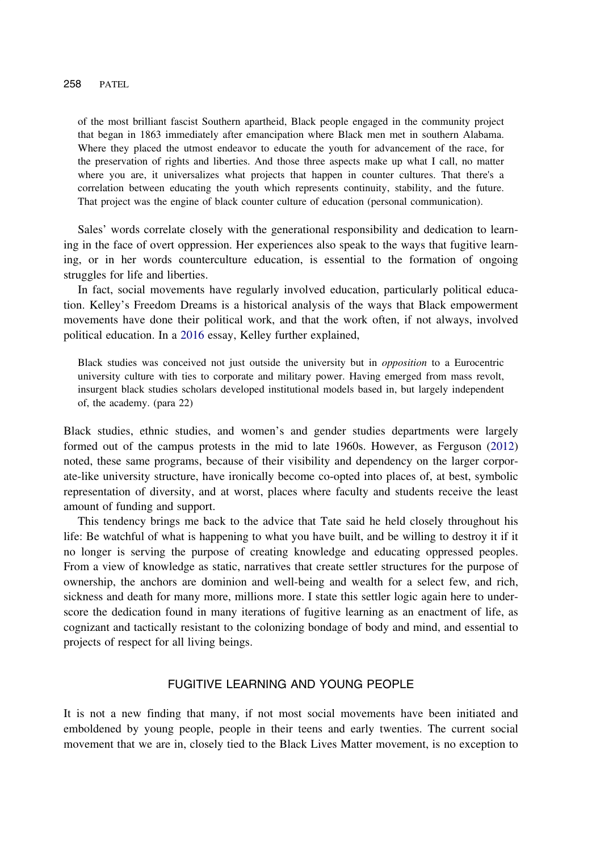<span id="page-6-0"></span>of the most brilliant fascist Southern apartheid, Black people engaged in the community project that began in 1863 immediately after emancipation where Black men met in southern Alabama. Where they placed the utmost endeavor to educate the youth for advancement of the race, for the preservation of rights and liberties. And those three aspects make up what I call, no matter where you are, it universalizes what projects that happen in counter cultures. That there's a correlation between educating the youth which represents continuity, stability, and the future. That project was the engine of black counter culture of education (personal communication).

Sales' words correlate closely with the generational responsibility and dedication to learning in the face of overt oppression. Her experiences also speak to the ways that fugitive learning, or in her words counterculture education, is essential to the formation of ongoing struggles for life and liberties.

In fact, social movements have regularly involved education, particularly political education. Kelley's Freedom Dreams is a historical analysis of the ways that Black empowerment movements have done their political work, and that the work often, if not always, involved political education. In a [2016](#page-9-0) essay, Kelley further explained,

Black studies was conceived not just outside the university but in opposition to a Eurocentric university culture with ties to corporate and military power. Having emerged from mass revolt, insurgent black studies scholars developed institutional models based in, but largely independent of, the academy. (para 22)

Black studies, ethnic studies, and women's and gender studies departments were largely formed out of the campus protests in the mid to late 1960s. However, as Ferguson ([2012\)](#page-8-0) noted, these same programs, because of their visibility and dependency on the larger corporate-like university structure, have ironically become co-opted into places of, at best, symbolic representation of diversity, and at worst, places where faculty and students receive the least amount of funding and support.

This tendency brings me back to the advice that Tate said he held closely throughout his life: Be watchful of what is happening to what you have built, and be willing to destroy it if it no longer is serving the purpose of creating knowledge and educating oppressed peoples. From a view of knowledge as static, narratives that create settler structures for the purpose of ownership, the anchors are dominion and well-being and wealth for a select few, and rich, sickness and death for many more, millions more. I state this settler logic again here to underscore the dedication found in many iterations of fugitive learning as an enactment of life, as cognizant and tactically resistant to the colonizing bondage of body and mind, and essential to projects of respect for all living beings.

#### FUGITIVE LEARNING AND YOUNG PEOPLE

It is not a new finding that many, if not most social movements have been initiated and emboldened by young people, people in their teens and early twenties. The current social movement that we are in, closely tied to the Black Lives Matter movement, is no exception to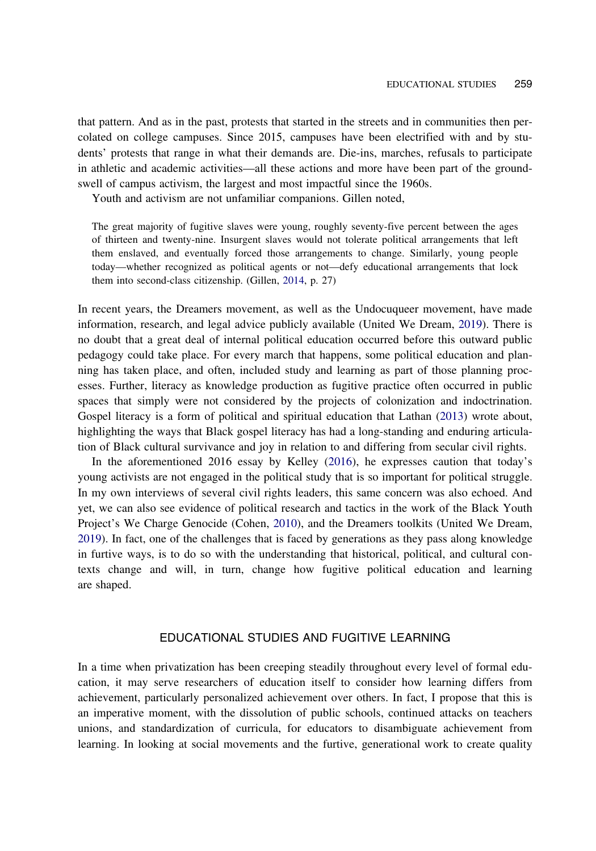<span id="page-7-0"></span>that pattern. And as in the past, protests that started in the streets and in communities then percolated on college campuses. Since 2015, campuses have been electrified with and by students' protests that range in what their demands are. Die-ins, marches, refusals to participate in athletic and academic activities—all these actions and more have been part of the groundswell of campus activism, the largest and most impactful since the 1960s.

Youth and activism are not unfamiliar companions. Gillen noted,

The great majority of fugitive slaves were young, roughly seventy-five percent between the ages of thirteen and twenty-nine. Insurgent slaves would not tolerate political arrangements that left them enslaved, and eventually forced those arrangements to change. Similarly, young people today—whether recognized as political agents or not—defy educational arrangements that lock them into second-class citizenship. (Gillen, [2014](#page-8-0), p. 27)

In recent years, the Dreamers movement, as well as the Undocuqueer movement, have made information, research, and legal advice publicly available (United We Dream, [2019\)](#page-9-0). There is no doubt that a great deal of internal political education occurred before this outward public pedagogy could take place. For every march that happens, some political education and planning has taken place, and often, included study and learning as part of those planning processes. Further, literacy as knowledge production as fugitive practice often occurred in public spaces that simply were not considered by the projects of colonization and indoctrination. Gospel literacy is a form of political and spiritual education that Lathan [\(2013](#page-9-0)) wrote about, highlighting the ways that Black gospel literacy has had a long-standing and enduring articulation of Black cultural survivance and joy in relation to and differing from secular civil rights.

In the aforementioned 2016 essay by Kelley ([2016\)](#page-9-0), he expresses caution that today's young activists are not engaged in the political study that is so important for political struggle. In my own interviews of several civil rights leaders, this same concern was also echoed. And yet, we can also see evidence of political research and tactics in the work of the Black Youth Project's We Charge Genocide (Cohen, [2010](#page-8-0)), and the Dreamers toolkits (United We Dream, [2019\)](#page-9-0). In fact, one of the challenges that is faced by generations as they pass along knowledge in furtive ways, is to do so with the understanding that historical, political, and cultural contexts change and will, in turn, change how fugitive political education and learning are shaped.

#### EDUCATIONAL STUDIES AND FUGITIVE LEARNING

In a time when privatization has been creeping steadily throughout every level of formal education, it may serve researchers of education itself to consider how learning differs from achievement, particularly personalized achievement over others. In fact, I propose that this is an imperative moment, with the dissolution of public schools, continued attacks on teachers unions, and standardization of curricula, for educators to disambiguate achievement from learning. In looking at social movements and the furtive, generational work to create quality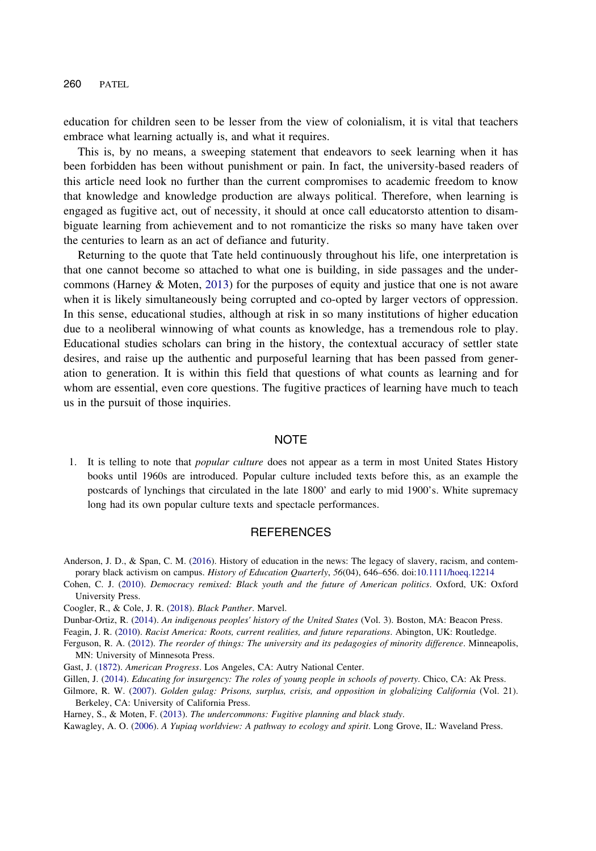<span id="page-8-0"></span>260 PATEL

education for children seen to be lesser from the view of colonialism, it is vital that teachers embrace what learning actually is, and what it requires.

This is, by no means, a sweeping statement that endeavors to seek learning when it has been forbidden has been without punishment or pain. In fact, the university-based readers of this article need look no further than the current compromises to academic freedom to know that knowledge and knowledge production are always political. Therefore, when learning is engaged as fugitive act, out of necessity, it should at once call educatorsto attention to disambiguate learning from achievement and to not romanticize the risks so many have taken over the centuries to learn as an act of defiance and futurity.

Returning to the quote that Tate held continuously throughout his life, one interpretation is that one cannot become so attached to what one is building, in side passages and the undercommons (Harney & Moten, 2013) for the purposes of equity and justice that one is not aware when it is likely simultaneously being corrupted and co-opted by larger vectors of oppression. In this sense, educational studies, although at risk in so many institutions of higher education due to a neoliberal winnowing of what counts as knowledge, has a tremendous role to play. Educational studies scholars can bring in the history, the contextual accuracy of settler state desires, and raise up the authentic and purposeful learning that has been passed from generation to generation. It is within this field that questions of what counts as learning and for whom are essential, even core questions. The fugitive practices of learning have much to teach us in the pursuit of those inquiries.

#### **NOTE**

1. It is telling to note that *popular culture* does not appear as a term in most United States History books until 1960s are introduced. Popular culture included texts before this, as an example the postcards of lynchings that circulated in the late 1800' and early to mid 1900's. White supremacy long had its own popular culture texts and spectacle performances.

#### **REFERENCES**

Anderson, J. D., & Span, C. M. ([2016\)](#page-4-0). History of education in the news: The legacy of slavery, racism, and contemporary black activism on campus. History of Education Quarterly, 56(04), 646–656. doi[:10.1111/hoeq.12214](https://doi.org/10.1111/hoeq.12214)

- Cohen, C. J. ([2010\)](#page-7-0). Democracy remixed: Black youth and the future of American politics. Oxford, UK: Oxford University Press.
- Coogler, R., & Cole, J. R. ([2018\)](#page-4-0). Black Panther. Marvel.

Dunbar-Ortiz, R. ([2014\)](#page-3-0). An indigenous peoples' history of the United States (Vol. 3). Boston, MA: Beacon Press.

Feagin, J. R. ([2010\)](#page-3-0). Racist America: Roots, current realities, and future reparations. Abington, UK: Routledge.

Ferguson, R. A. ([2012\)](#page-6-0). The reorder of things: The university and its pedagogies of minority difference. Minneapolis, MN: University of Minnesota Press.

Gast, J. [\(1872](#page-2-0)). American Progress. Los Angeles, CA: Autry National Center.

Gillen, J. [\(2014](#page-7-0)). Educating for insurgency: The roles of young people in schools of poverty. Chico, CA: Ak Press.

Gilmore, R. W. ([2007\)](#page-1-0). Golden gulag: Prisons, surplus, crisis, and opposition in globalizing California (Vol. 21). Berkeley, CA: University of California Press.

Harney, S., & Moten, F. (2013). The undercommons: Fugitive planning and black study.

Kawagley, A. O. ([2006\)](#page-4-0). A Yupiaq worldview: A pathway to ecology and spirit. Long Grove, IL: Waveland Press.